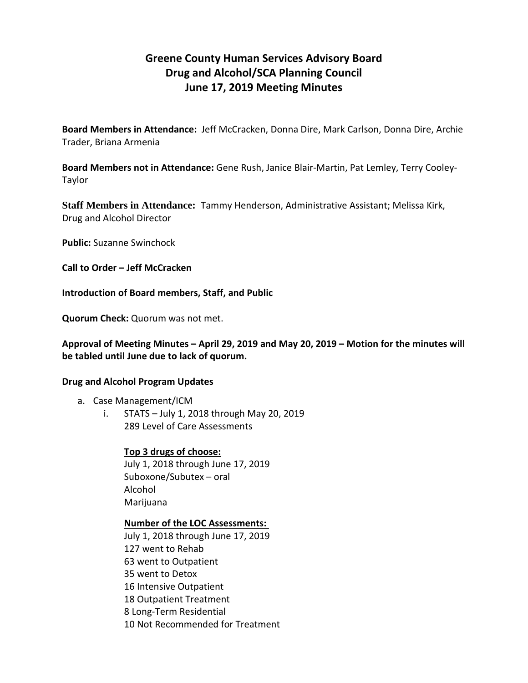# **Greene County Human Services Advisory Board Drug and Alcohol/SCA Planning Council June 17, 2019 Meeting Minutes**

**Board Members in Attendance:** Jeff McCracken, Donna Dire, Mark Carlson, Donna Dire, Archie Trader, Briana Armenia

**Board Members not in Attendance:** Gene Rush, Janice Blair-Martin, Pat Lemley, Terry Cooley-Taylor

**Staff Members in Attendance:** Tammy Henderson, Administrative Assistant; Melissa Kirk, Drug and Alcohol Director

**Public:** Suzanne Swinchock

**Call to Order – Jeff McCracken**

**Introduction of Board members, Staff, and Public**

**Quorum Check:** Quorum was not met.

**Approval of Meeting Minutes – April 29, 2019 and May 20, 2019 – Motion for the minutes will be tabled until June due to lack of quorum.**

## **Drug and Alcohol Program Updates**

- a. Case Management/ICM
	- i. STATS July 1, 2018 through May 20, 2019 289 Level of Care Assessments

## **Top 3 drugs of choose:**

July 1, 2018 through June 17, 2019 Suboxone/Subutex – oral Alcohol Marijuana

## **Number of the LOC Assessments:**

July 1, 2018 through June 17, 2019 127 went to Rehab went to Outpatient went to Detox Intensive Outpatient Outpatient Treatment 8 Long-Term Residential Not Recommended for Treatment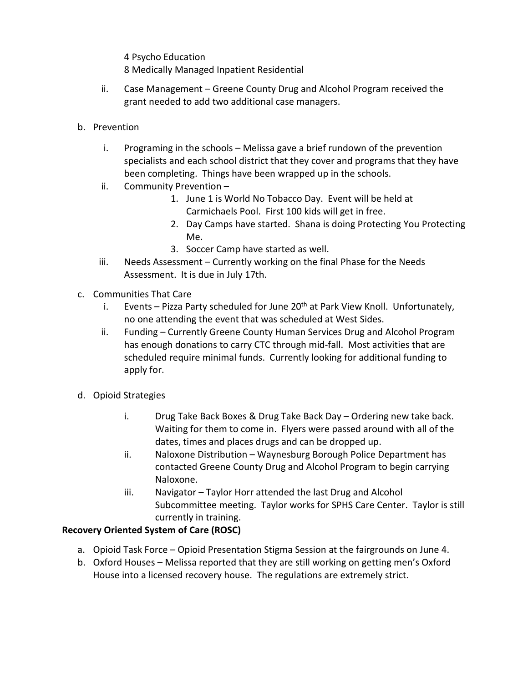4 Psycho Education

8 Medically Managed Inpatient Residential

- ii. Case Management Greene County Drug and Alcohol Program received the grant needed to add two additional case managers.
- b. Prevention
	- i. Programing in the schools Melissa gave a brief rundown of the prevention specialists and each school district that they cover and programs that they have been completing. Things have been wrapped up in the schools.
	- ii. Community Prevention
		- 1. June 1 is World No Tobacco Day. Event will be held at Carmichaels Pool. First 100 kids will get in free.
		- 2. Day Camps have started. Shana is doing Protecting You Protecting Me.
		- 3. Soccer Camp have started as well.
	- iii. Needs Assessment Currently working on the final Phase for the Needs Assessment. It is due in July 17th.
- c. Communities That Care
	- i. Events Pizza Party scheduled for June  $20<sup>th</sup>$  at Park View Knoll. Unfortunately, no one attending the event that was scheduled at West Sides.
	- ii. Funding Currently Greene County Human Services Drug and Alcohol Program has enough donations to carry CTC through mid-fall. Most activities that are scheduled require minimal funds. Currently looking for additional funding to apply for.
- d. Opioid Strategies
	- i. Drug Take Back Boxes & Drug Take Back Day Ordering new take back. Waiting for them to come in. Flyers were passed around with all of the dates, times and places drugs and can be dropped up.
	- ii. Naloxone Distribution Waynesburg Borough Police Department has contacted Greene County Drug and Alcohol Program to begin carrying Naloxone.
	- iii. Navigator Taylor Horr attended the last Drug and Alcohol Subcommittee meeting. Taylor works for SPHS Care Center. Taylor is still currently in training.

# **Recovery Oriented System of Care (ROSC)**

- a. Opioid Task Force Opioid Presentation Stigma Session at the fairgrounds on June 4.
- b. Oxford Houses Melissa reported that they are still working on getting men's Oxford House into a licensed recovery house. The regulations are extremely strict.